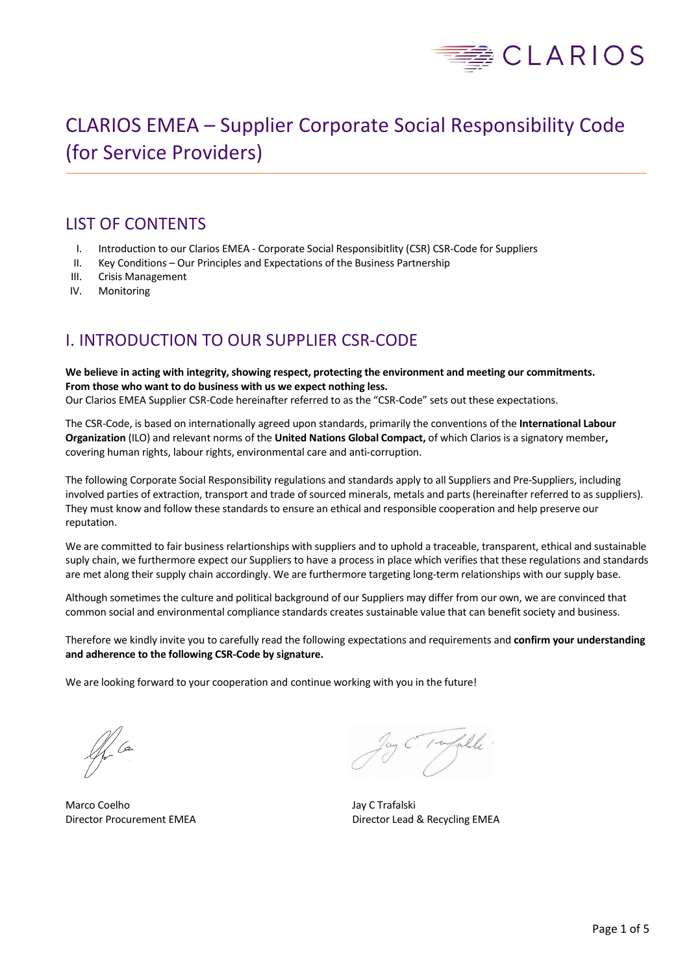

# CLARIOS EMEA – Supplier Corporate Social Responsibility Code (for Service Providers)

# LIST OF CONTENTS

- I. Introduction to our Clarios EMEA Corporate Social Responsibitlity (CSR) CSR-Code for Suppliers
- II. Key Conditions Our Principles and Expectations of the Business Partnership
- III. Crisis Management
- IV. Monitoring

# I. INTRODUCTION TO OUR SUPPLIER CSR-CODE

**We believe in acting with integrity, showing respect, protecting the environment and meeting our commitments. From those who want to do business with us we expect nothing less.** 

Our Clarios EMEA Supplier CSR-Code hereinafter referred to as the "CSR-Code" sets out these expectations.

The CSR-Code, is based on internationally agreed upon standards, primarily the conventions of the **International Labour Organization** (ILO) and relevant norms of the **United Nations Global Compact,** of which Clarios is a signatory member**,** covering human rights, labour rights, environmental care and anti-corruption.

The following Corporate Social Responsibility regulations and standards apply to all Suppliers and Pre-Suppliers, including involved parties of extraction, transport and trade of sourced minerals, metals and parts (hereinafter referred to as suppliers). They must know and follow these standards to ensure an ethical and responsible cooperation and help preserve our reputation.

We are committed to fair business relartionships with suppliers and to uphold a traceable, transparent, ethical and sustainable suply chain, we furthermore expect our Suppliers to have a process in place which verifies that these regulations and standards are met along their supply chain accordingly. We are furthermore targeting long-term relationships with our supply base.

Although sometimes the culture and political background of our Suppliers may differ from our own, we are convinced that common social and environmental compliance standards creates sustainable value that can benefit society and business.

Therefore we kindly invite you to carefully read the following expectations and requirements and **confirm your understanding and adherence to the following CSR-Code by signature.**

We are looking forward to your cooperation and continue working with you in the future!

 $\mathscr{A}$  Can

Marco Coelho **Marco Coelho** Jay C Trafalski

1 wfulle

Director Procurement EMEA Director Lead & Recycling EMEA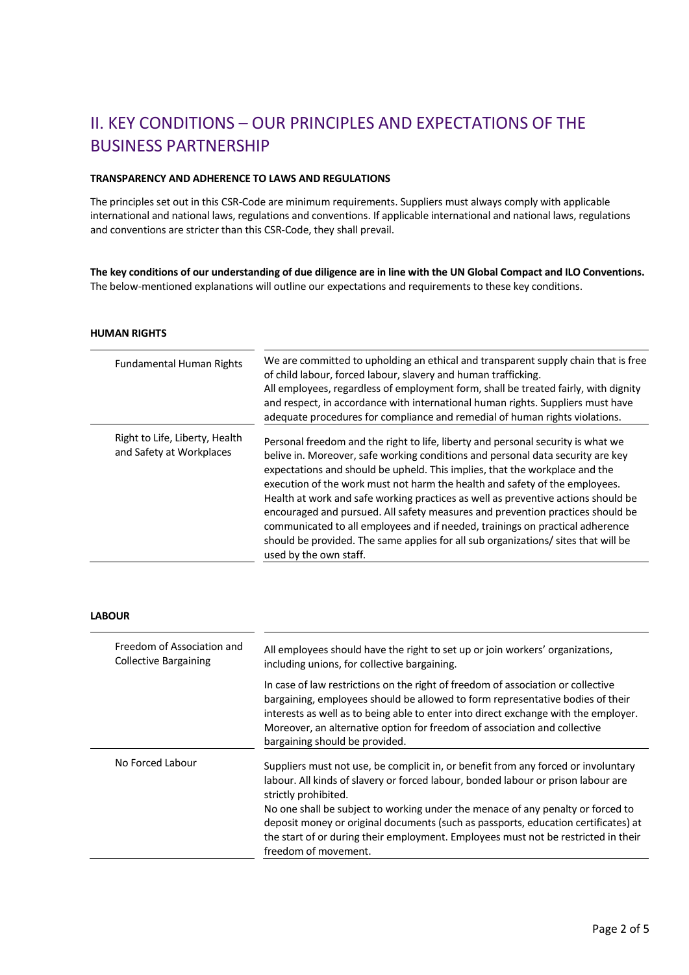# II. KEY CONDITIONS – OUR PRINCIPLES AND EXPECTATIONS OF THE BUSINESS PARTNERSHIP

### **TRANSPARENCY AND ADHERENCE TO LAWS AND REGULATIONS**

The principles set out in this CSR-Code are minimum requirements. Suppliers must always comply with applicable international and national laws, regulations and conventions. If applicable international and national laws, regulations and conventions are stricter than this CSR-Code, they shall prevail.

**The key conditions of our understanding of due diligence are in line with the UN Global Compact and ILO Conventions.**  The below-mentioned explanations will outline our expectations and requirements to these key conditions.

#### **HUMAN RIGHTS**

| <b>Fundamental Human Rights</b>                            | We are committed to upholding an ethical and transparent supply chain that is free<br>of child labour, forced labour, slavery and human trafficking.<br>All employees, regardless of employment form, shall be treated fairly, with dignity<br>and respect, in accordance with international human rights. Suppliers must have<br>adequate procedures for compliance and remedial of human rights violations.                                                                                                                                                                                                                                                                                             |
|------------------------------------------------------------|-----------------------------------------------------------------------------------------------------------------------------------------------------------------------------------------------------------------------------------------------------------------------------------------------------------------------------------------------------------------------------------------------------------------------------------------------------------------------------------------------------------------------------------------------------------------------------------------------------------------------------------------------------------------------------------------------------------|
| Right to Life, Liberty, Health<br>and Safety at Workplaces | Personal freedom and the right to life, liberty and personal security is what we<br>belive in. Moreover, safe working conditions and personal data security are key<br>expectations and should be upheld. This implies, that the workplace and the<br>execution of the work must not harm the health and safety of the employees.<br>Health at work and safe working practices as well as preventive actions should be<br>encouraged and pursued. All safety measures and prevention practices should be<br>communicated to all employees and if needed, trainings on practical adherence<br>should be provided. The same applies for all sub organizations/ sites that will be<br>used by the own staff. |

### **LABOUR**

| Freedom of Association and<br><b>Collective Bargaining</b> | All employees should have the right to set up or join workers' organizations,<br>including unions, for collective bargaining.                                                                                                                                                                                                                                                                                                                                                          |
|------------------------------------------------------------|----------------------------------------------------------------------------------------------------------------------------------------------------------------------------------------------------------------------------------------------------------------------------------------------------------------------------------------------------------------------------------------------------------------------------------------------------------------------------------------|
|                                                            | In case of law restrictions on the right of freedom of association or collective<br>bargaining, employees should be allowed to form representative bodies of their<br>interests as well as to being able to enter into direct exchange with the employer.<br>Moreover, an alternative option for freedom of association and collective<br>bargaining should be provided.                                                                                                               |
| No Forced Labour                                           | Suppliers must not use, be complicit in, or benefit from any forced or involuntary<br>labour. All kinds of slavery or forced labour, bonded labour or prison labour are<br>strictly prohibited.<br>No one shall be subject to working under the menace of any penalty or forced to<br>deposit money or original documents (such as passports, education certificates) at<br>the start of or during their employment. Employees must not be restricted in their<br>freedom of movement. |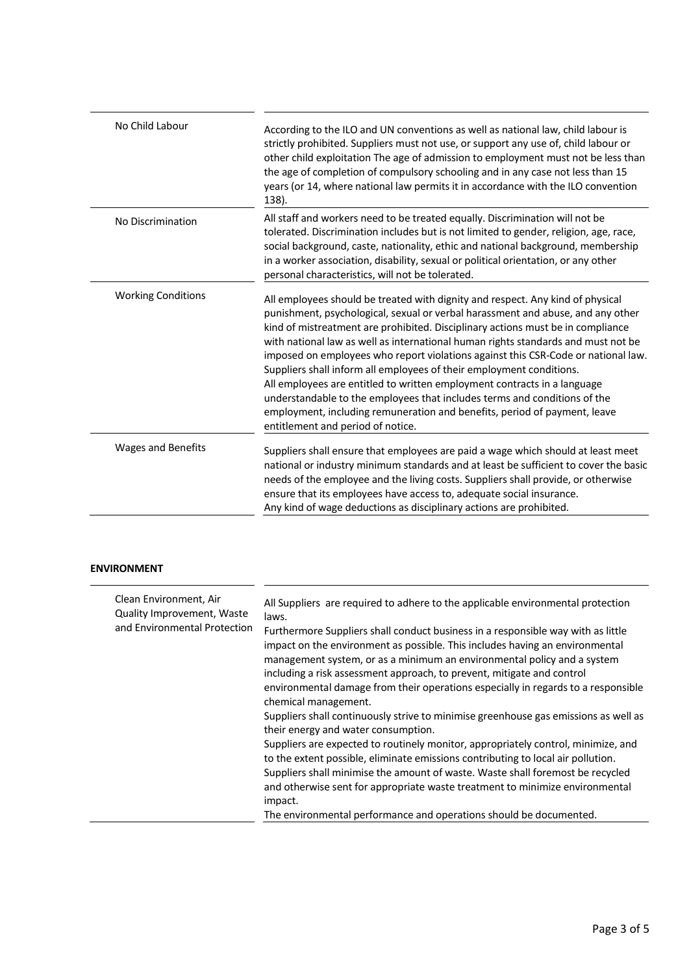| No Child Labour           | According to the ILO and UN conventions as well as national law, child labour is<br>strictly prohibited. Suppliers must not use, or support any use of, child labour or<br>other child exploitation The age of admission to employment must not be less than<br>the age of completion of compulsory schooling and in any case not less than 15<br>years (or 14, where national law permits it in accordance with the ILO convention<br>138).                                                                                                                                                                                                                                                                                                                                      |
|---------------------------|-----------------------------------------------------------------------------------------------------------------------------------------------------------------------------------------------------------------------------------------------------------------------------------------------------------------------------------------------------------------------------------------------------------------------------------------------------------------------------------------------------------------------------------------------------------------------------------------------------------------------------------------------------------------------------------------------------------------------------------------------------------------------------------|
| No Discrimination         | All staff and workers need to be treated equally. Discrimination will not be<br>tolerated. Discrimination includes but is not limited to gender, religion, age, race,<br>social background, caste, nationality, ethic and national background, membership<br>in a worker association, disability, sexual or political orientation, or any other<br>personal characteristics, will not be tolerated.                                                                                                                                                                                                                                                                                                                                                                               |
| <b>Working Conditions</b> | All employees should be treated with dignity and respect. Any kind of physical<br>punishment, psychological, sexual or verbal harassment and abuse, and any other<br>kind of mistreatment are prohibited. Disciplinary actions must be in compliance<br>with national law as well as international human rights standards and must not be<br>imposed on employees who report violations against this CSR-Code or national law.<br>Suppliers shall inform all employees of their employment conditions.<br>All employees are entitled to written employment contracts in a language<br>understandable to the employees that includes terms and conditions of the<br>employment, including remuneration and benefits, period of payment, leave<br>entitlement and period of notice. |
| <b>Wages and Benefits</b> | Suppliers shall ensure that employees are paid a wage which should at least meet<br>national or industry minimum standards and at least be sufficient to cover the basic<br>needs of the employee and the living costs. Suppliers shall provide, or otherwise<br>ensure that its employees have access to, adequate social insurance.<br>Any kind of wage deductions as disciplinary actions are prohibited.                                                                                                                                                                                                                                                                                                                                                                      |

## **ENVIRONMENT**

| Clean Environment, Air<br>Quality Improvement, Waste<br>and Environmental Protection | All Suppliers are required to adhere to the applicable environmental protection<br>laws.<br>Furthermore Suppliers shall conduct business in a responsible way with as little<br>impact on the environment as possible. This includes having an environmental<br>management system, or as a minimum an environmental policy and a system<br>including a risk assessment approach, to prevent, mitigate and control<br>environmental damage from their operations especially in regards to a responsible<br>chemical management.<br>Suppliers shall continuously strive to minimise greenhouse gas emissions as well as<br>their energy and water consumption.<br>Suppliers are expected to routinely monitor, appropriately control, minimize, and<br>to the extent possible, eliminate emissions contributing to local air pollution.<br>Suppliers shall minimise the amount of waste. Waste shall foremost be recycled<br>and otherwise sent for appropriate waste treatment to minimize environmental<br>impact. |
|--------------------------------------------------------------------------------------|--------------------------------------------------------------------------------------------------------------------------------------------------------------------------------------------------------------------------------------------------------------------------------------------------------------------------------------------------------------------------------------------------------------------------------------------------------------------------------------------------------------------------------------------------------------------------------------------------------------------------------------------------------------------------------------------------------------------------------------------------------------------------------------------------------------------------------------------------------------------------------------------------------------------------------------------------------------------------------------------------------------------|
|                                                                                      | The environmental performance and operations should be documented.                                                                                                                                                                                                                                                                                                                                                                                                                                                                                                                                                                                                                                                                                                                                                                                                                                                                                                                                                 |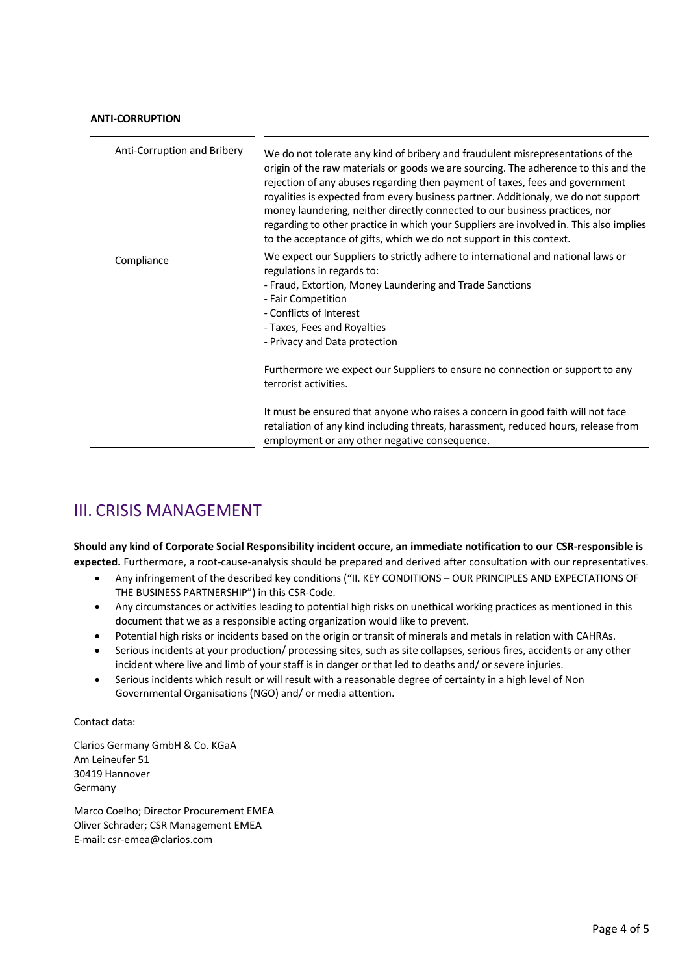### **ANTI-CORRUPTION**

| Anti-Corruption and Bribery | We do not tolerate any kind of bribery and fraudulent misrepresentations of the<br>origin of the raw materials or goods we are sourcing. The adherence to this and the<br>rejection of any abuses regarding then payment of taxes, fees and government<br>royalities is expected from every business partner. Additionaly, we do not support<br>money laundering, neither directly connected to our business practices, nor<br>regarding to other practice in which your Suppliers are involved in. This also implies<br>to the acceptance of gifts, which we do not support in this context. |
|-----------------------------|-----------------------------------------------------------------------------------------------------------------------------------------------------------------------------------------------------------------------------------------------------------------------------------------------------------------------------------------------------------------------------------------------------------------------------------------------------------------------------------------------------------------------------------------------------------------------------------------------|
| Compliance                  | We expect our Suppliers to strictly adhere to international and national laws or<br>regulations in regards to:<br>- Fraud, Extortion, Money Laundering and Trade Sanctions<br>- Fair Competition<br>- Conflicts of Interest<br>- Taxes, Fees and Royalties<br>- Privacy and Data protection                                                                                                                                                                                                                                                                                                   |
|                             | Furthermore we expect our Suppliers to ensure no connection or support to any<br>terrorist activities.                                                                                                                                                                                                                                                                                                                                                                                                                                                                                        |
|                             | It must be ensured that anyone who raises a concern in good faith will not face<br>retaliation of any kind including threats, harassment, reduced hours, release from<br>employment or any other negative consequence.                                                                                                                                                                                                                                                                                                                                                                        |

# III. CRISIS MANAGEMENT

**Should any kind of Corporate Social Responsibility incident occure, an immediate notification to our CSR-responsible is expected.** Furthermore, a root-cause-analysis should be prepared and derived after consultation with our representatives.

- Any infringement of the described key conditions ("II. KEY CONDITIONS OUR PRINCIPLES AND EXPECTATIONS OF THE BUSINESS PARTNERSHIP") in this CSR-Code.
- Any circumstances or activities leading to potential high risks on unethical working practices as mentioned in this document that we as a responsible acting organization would like to prevent.
- Potential high risks or incidents based on the origin or transit of minerals and metals in relation with CAHRAs.
- Serious incidents at your production/ processing sites, such as site collapses, serious fires, accidents or any other incident where live and limb of your staff is in danger or that led to deaths and/ or severe injuries.
- Serious incidents which result or will result with a reasonable degree of certainty in a high level of Non Governmental Organisations (NGO) and/ or media attention.

Contact data:

Clarios Germany GmbH & Co. KGaA Am Leineufer 51 30419 Hannover Germany

Marco Coelho; Director Procurement EMEA Oliver Schrader; CSR Management EMEA E-mail: csr-emea@clarios.com